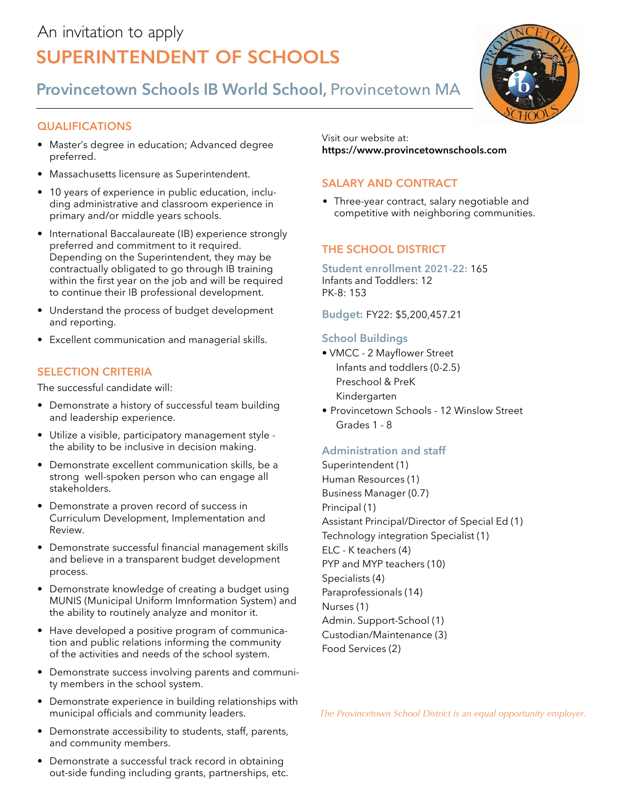# An invitation to apply **Superintendent of Schools**

**Provincetown Schools IB World School,** Provincetown MA

## **qualifications**

- Master's degree in education; Advanced degree preferred.
- Massachusetts licensure as Superintendent.
- 10 years of experience in public education, including administrative and classroom experience in primary and/or middle years schools.
- International Baccalaureate (IB) experience strongly preferred and commitment to it required. Depending on the Superintendent, they may be contractually obligated to go through IB training within the first year on the job and will be required to continue their IB professional development.
- Understand the process of budget development and reporting.
- Excellent communication and managerial skills.

## **SELECTION CRITERIA**

The successful candidate will:

- Demonstrate a history of successful team building and leadership experience.
- Utilize a visible, participatory management style the ability to be inclusive in decision making.
- Demonstrate excellent communication skills, be a strong well-spoken person who can engage all stakeholders.
- Demonstrate a proven record of success in Curriculum Development, Implementation and Review.
- Demonstrate successful financial management skills and believe in a transparent budget development process.
- Demonstrate knowledge of creating a budget using MUNIS (Municipal Uniform Imnformation System) and the ability to routinely analyze and monitor it.
- Have developed a positive program of communication and public relations informing the community of the activities and needs of the school system.
- Demonstrate success involving parents and community members in the school system.
- Demonstrate experience in building relationships with municipal officials and community leaders.
- Demonstrate accessibility to students, staff, parents, and community members.
- Demonstrate a successful track record in obtaining out-side funding including grants, partnerships, etc.

Visit our website at: **https://www.provincetownschools.com**

# **Salary and Contract**

• Three-year contract, salary negotiable and competitive with neighboring communities.

# **The School District**

#### **Student enrollment 2021-22:** 165 Infants and Toddlers: 12 PK-8: 153

**Budget:** FY22: \$5,200,457.21

## **School Buildings**

- VMCC 2 Mayflower Street Infants and toddlers (0-2.5) Preschool & PreK Kindergarten
- Provincetown Schools 12 Winslow Street Grades 1 - 8

## **Administration and staff**

Superintendent (1) Human Resources (1) Business Manager (0.7) Principal (1) Assistant Principal/Director of Special Ed (1) Technology integration Specialist (1) ELC - K teachers (4) PYP and MYP teachers (10) Specialists (4) Paraprofessionals (14) Nurses (1) Admin. Support-School (1) Custodian/Maintenance (3) Food Services (2)

*The Provincetown School District is an equal opportunity employer.*